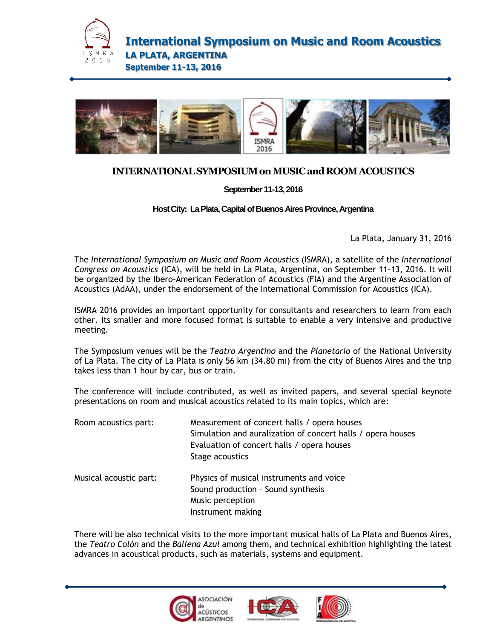

**International Symposium on Music and Room Acoustics LA PLATA, ARGENTINA September 11-13, 2016**



## **INTERNATIONALSYMPOSIUMonMUSICandROOMACOUSTICS**

**September11-13,2016**

**Host City: La Plata, Capital of Buenos Aires Province, Argentina** 

La Plata, January 31, 2016

The *International Symposium on Music and Room Acoustics* (ISMRA), a satellite of the *International Congress on Acoustics* (ICA), will be held in La Plata, Argentina, on September 11-13, 2016. It will be organized by the Ibero-American Federation of Acoustics (FIA) and the Argentine Association of Acoustics (AdAA), under the endorsement of the International Commission for Acoustics (ICA).

ISMRA 2016 provides an important opportunity for consultants and researchers to learn from each other. Its smaller and more focused format is suitable to enable a very intensive and productive meeting.

The Symposium venues will be the *Teatro Argentino* and the *Planetario* of the National University of La Plata. The city of La Plata is only 56 km (34.80 mi) from the city of Buenos Aires and the trip takes less than 1 hour by car, bus or train.

The conference will include contributed, as well as invited papers, and several special keynote presentations on room and musical acoustics related to its main topics, which are:

| Room acoustics part:   | Measurement of concert halls / opera houses<br>Simulation and auralization of concert halls / opera houses<br>Evaluation of concert halls / opera houses<br>Stage acoustics |
|------------------------|-----------------------------------------------------------------------------------------------------------------------------------------------------------------------------|
| Musical acoustic part: | Physics of musical instruments and voice<br>Sound production - Sound synthesis<br>Music perception<br>Instrument making                                                     |

There will be also technical visits to the more important musical halls of La Plata and Buenos Aires, the *Teatro Colón* and the *Ballena Azul* among them, and technical exhibition highlighting the latest advances in acoustical products, such as materials, systems and equipment.





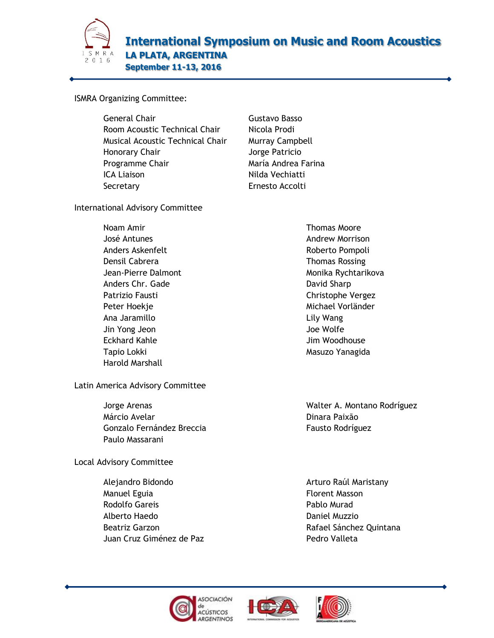

## ISMRA Organizing Committee:

General Chair **Gustavo Basso** Room Acoustic Technical Chair Nicola Prodi Musical Acoustic Technical Chair Murray Campbell Honorary Chair **International Studies Action** Jorge Patricio Programme Chair **María Andrea Farina** ICA Liaison Nilda Vechiatti Secretary **Example 2018** Ernesto Accolti

International Advisory Committee

Noam Amir José Antunes Anders Askenfelt Densil Cabrera Jean-Pierre Dalmont Anders Chr. Gade Patrizio Fausti Peter Hoekje Ana Jaramillo Jin Yong Jeon Eckhard Kahle Tapio Lokki Harold Marshall

Latin America Advisory Committee

Jorge Arenas [Márcio Avelar](mailto:marcio.avelar@gmail.com) Gonzalo Fernández Breccia [Paulo Massarani](mailto:pmmassarani@inmetro.gov.br)

Local Advisory Committee

Alejandro Bidondo Manuel Eguia Rodolfo Gareis Alberto Haedo Beatriz Garzon Juan Cruz Giménez de Paz Thomas Moore [Andrew Morrison](mailto:amorriso@jjc.edu)  Roberto Pompoli Thomas Rossing Monika Rychtarikova David Sharp Christophe Vergez Michael Vorländer Lily Wang Joe Wolfe Jim Woodhouse [Masuzo Yanagida](mailto:yanagida64165@gmail.com)

Walter A. Montano Rodríguez Dinara Paixão Fausto Rodríguez

Arturo Raúl Maristany Florent Masson Pablo Murad Daniel Muzzio Rafael Sánchez Quintana Pedro Valleta